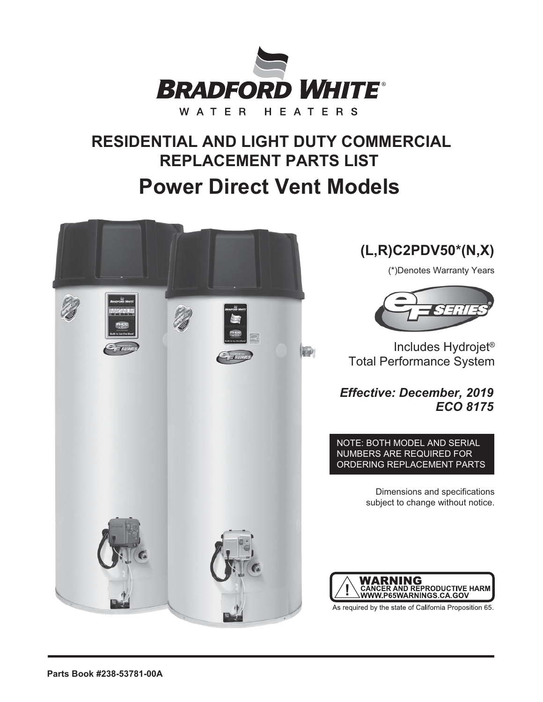

## **RESIDENTIAL AND LIGHT DUTY COMMERCIAL REPLACEMENT PARTS LIST Power Direct Vent Models**



## **(L,R)C2PDV50\*(N,X)**

(\*)Denotes Warranty Years

![](_page_0_Picture_5.jpeg)

Includes Hydrojet® Total Performance System

*Effective: December, 2019 ECO 8175*

NOTE: BOTH MODEL AND SERIAL NUMBERS ARE REQUIRED FOR ORDERING REPLACEMENT PARTS

> Dimensions and specifications subject to change without notice.

![](_page_0_Picture_10.jpeg)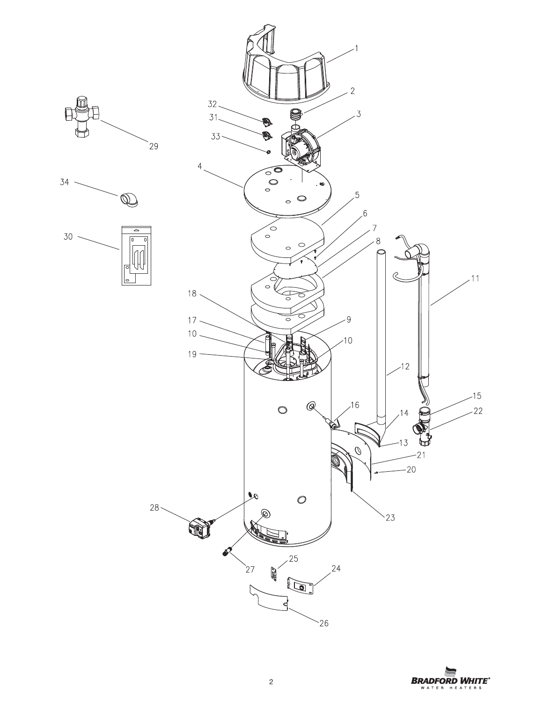![](_page_1_Figure_0.jpeg)

 $30 -$ 

![](_page_1_Picture_1.jpeg)

![](_page_1_Picture_2.jpeg)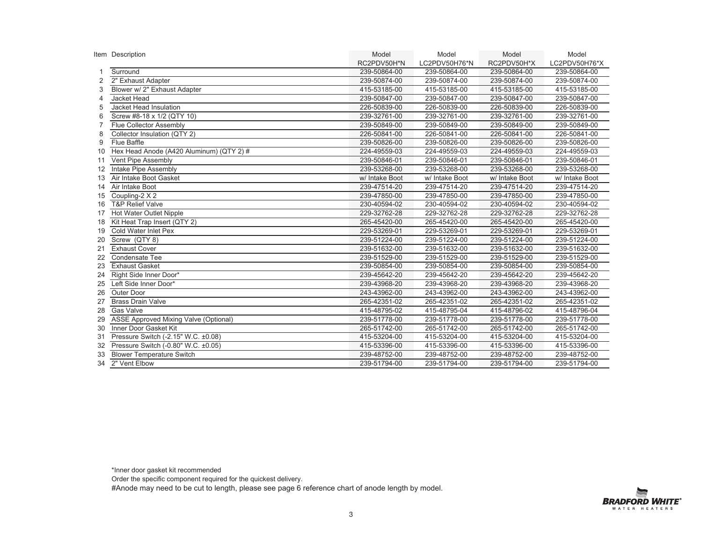|                | Item Description                             | Model                                        | Model                        | Model          | Model          |
|----------------|----------------------------------------------|----------------------------------------------|------------------------------|----------------|----------------|
|                |                                              | RC2PDV50H*N                                  | LC2PDV50H76*N                | RC2PDV50H*X    | LC2PDV50H76*X  |
|                | Surround                                     | 239-50864-00                                 | 239-50864-00<br>239-50864-00 |                | 239-50864-00   |
| $\overline{2}$ | 2" Exhaust Adapter                           | 239-50874-00<br>239-50874-00<br>239-50874-00 |                              | 239-50874-00   |                |
| 3              | Blower w/ 2" Exhaust Adapter                 | 415-53185-00                                 | 415-53185-00<br>415-53185-00 |                | 415-53185-00   |
| 4              | Jacket Head                                  | 239-50847-00                                 | 239-50847-00                 | 239-50847-00   | 239-50847-00   |
| 5              | <b>Jacket Head Insulation</b>                | 226-50839-00                                 | 226-50839-00                 | 226-50839-00   | 226-50839-00   |
| 6              | Screw #8-18 x 1/2 (QTY 10)                   | 239-32761-00                                 | 239-32761-00                 | 239-32761-00   | 239-32761-00   |
| $\overline{7}$ | <b>Flue Collector Assembly</b>               | 239-50849-00                                 | 239-50849-00                 | 239-50849-00   | 239-50849-00   |
| 8              | Collector Insulation (QTY 2)                 | 226-50841-00                                 | 226-50841-00                 | 226-50841-00   | 226-50841-00   |
| 9              | Flue Baffle                                  | 239-50826-00                                 | 239-50826-00                 | 239-50826-00   | 239-50826-00   |
| 10             | Hex Head Anode (A420 Aluminum) (QTY 2) #     | 224-49559-03                                 | 224-49559-03                 | 224-49559-03   | 224-49559-03   |
| 11             | Vent Pipe Assembly                           | 239-50846-01                                 | 239-50846-01                 | 239-50846-01   | 239-50846-01   |
| 12             | Intake Pipe Assembly                         | 239-53268-00                                 | 239-53268-00                 | 239-53268-00   | 239-53268-00   |
| 13             | Air Intake Boot Gasket                       | w/ Intake Boot                               | w/ Intake Boot               | w/ Intake Boot | w/ Intake Boot |
| 14             | Air Intake Boot                              | 239-47514-20                                 | 239-47514-20                 | 239-47514-20   | 239-47514-20   |
| 15             | Coupling-2 X 2                               | 239-47850-00                                 | 239-47850-00                 | 239-47850-00   | 239-47850-00   |
| 16             | <b>T&amp;P Relief Valve</b>                  | 230-40594-02                                 | 230-40594-02                 | 230-40594-02   | 230-40594-02   |
| 17             | Hot Water Outlet Nipple                      | 229-32762-28                                 | 229-32762-28                 | 229-32762-28   | 229-32762-28   |
| 18             | Kit Heat Trap Insert (QTY 2)                 | 265-45420-00                                 | 265-45420-00                 | 265-45420-00   | 265-45420-00   |
| 19             | Cold Water Inlet Pex                         | 229-53269-01                                 | 229-53269-01                 | 229-53269-01   | 229-53269-01   |
| 20             | Screw (QTY 8)                                | 239-51224-00                                 | 239-51224-00                 | 239-51224-00   | 239-51224-00   |
| 21             | <b>Exhaust Cover</b>                         | 239-51632-00                                 | 239-51632-00                 | 239-51632-00   | 239-51632-00   |
| 22             | Condensate Tee                               | 239-51529-00                                 | 239-51529-00                 | 239-51529-00   | 239-51529-00   |
| 23             | <b>Exhaust Gasket</b>                        | 239-50854-00                                 | 239-50854-00                 | 239-50854-00   | 239-50854-00   |
| 24             | Right Side Inner Door*                       | 239-45642-20                                 | 239-45642-20                 | 239-45642-20   | 239-45642-20   |
| 25             | Left Side Inner Door*                        | 239-43968-20                                 | 239-43968-20                 | 239-43968-20   | 239-43968-20   |
| 26             | Outer Door                                   | 243-43962-00                                 | 243-43962-00                 | 243-43962-00   | 243-43962-00   |
| 27             | <b>Brass Drain Valve</b>                     | 265-42351-02                                 | 265-42351-02                 | 265-42351-02   | 265-42351-02   |
| 28             | <b>Gas Valve</b>                             | 415-48795-02                                 | 415-48795-04                 | 415-48796-02   | 415-48796-04   |
| 29             | <b>ASSE Approved Mixing Valve (Optional)</b> | 239-51778-00                                 | 239-51778-00                 | 239-51778-00   | 239-51778-00   |
| 30             | Inner Door Gasket Kit                        | 265-51742-00                                 | 265-51742-00                 | 265-51742-00   | 265-51742-00   |
| 31             | Pressure Switch (-2.15" W.C. ±0.08)          | 415-53204-00                                 | 415-53204-00                 | 415-53204-00   | 415-53204-00   |
| 32             | Pressure Switch (-0.80" W.C. ±0.05)          | 415-53396-00                                 | 415-53396-00                 | 415-53396-00   | 415-53396-00   |
| 33             | <b>Blower Temperature Switch</b>             | 239-48752-00                                 | 239-48752-00                 | 239-48752-00   | 239-48752-00   |
| 34             | 2" Vent Elbow                                | 239-51794-00                                 | 239-51794-00                 | 239-51794-00   | 239-51794-00   |

\*Inner door gasket kit recommended

Order the specific component required for the quickest delivery.<br>#Anode may need to be cut to length, please see page 6 reference chart of anode length by model.

![](_page_2_Picture_4.jpeg)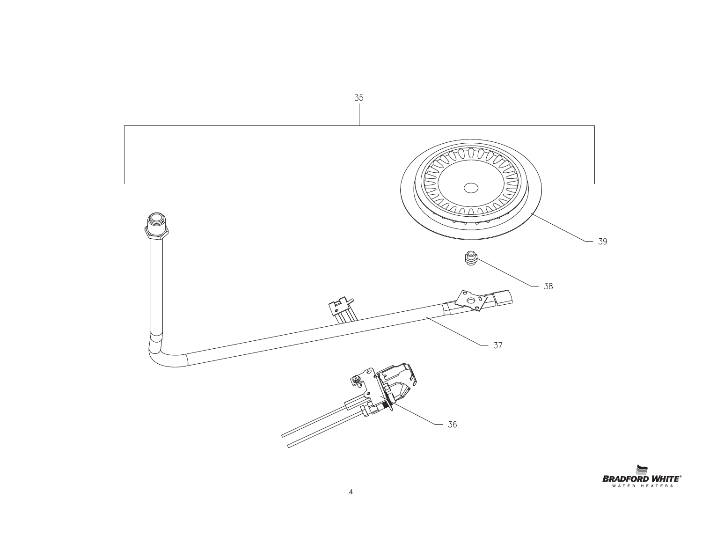![](_page_3_Figure_0.jpeg)

![](_page_3_Picture_1.jpeg)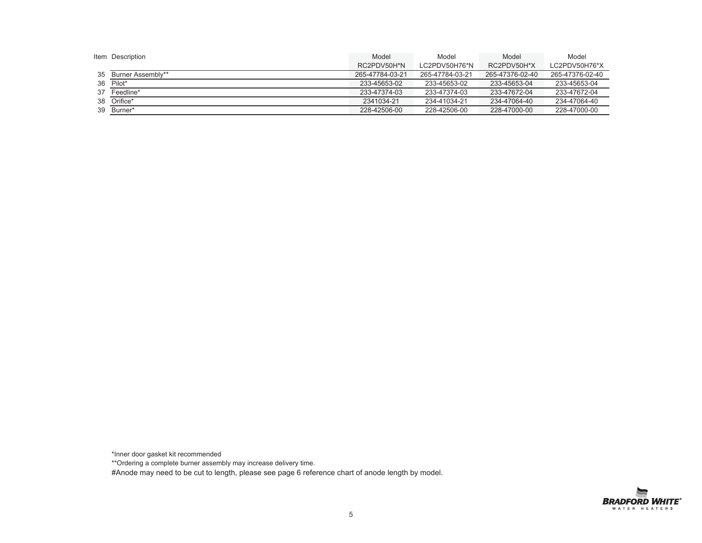|    | Item Description  | Model           | Model           | Model           | Model           |
|----|-------------------|-----------------|-----------------|-----------------|-----------------|
|    |                   | RC2PDV50H*N     | LC2PDV50H76*N   | RC2PDV50H*X     | LC2PDV50H76*X   |
| 35 | Burner Assembly** | 265-47784-03-21 | 265-47784-03-21 | 265-47376-02-40 | 265-47376-02-40 |
| 36 | Pilot*            | 233-45653-02    | 233-45653-02    | 233-45653-04    | 233-45653-04    |
| 37 | Feedline*         | 233-47374-03    | 233-47374-03    | 233-47672-04    | 233-47672-04    |
| 38 | Orifice*          | 2341034-21      | 234-41034-21    | 234-47064-40    | 234-47064-40    |
| 39 | Burner*           | 228-42506-00    | 228-42506-00    | 228-47000-00    | 228-47000-00    |

\*Inner door gasket kit recommended

\*\* Ordering a complete burner assembly may increase delivery time.

#Anode may need to be cut to length, please see page 6 reference chart of anode length by model.

![](_page_4_Picture_4.jpeg)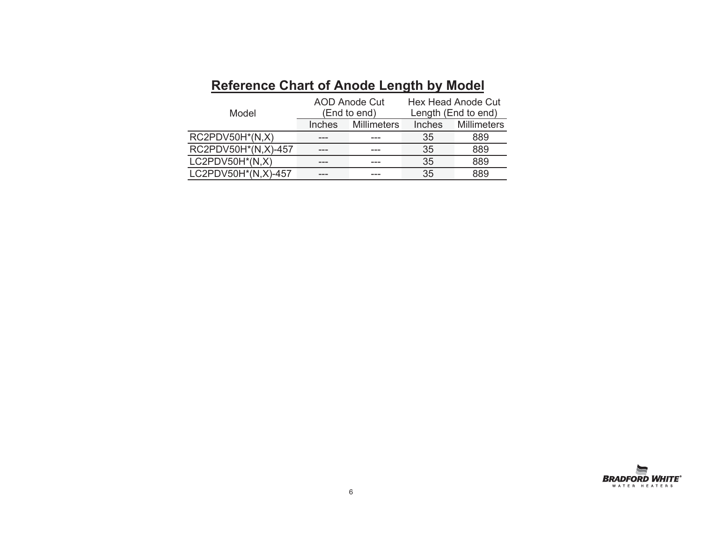## **Reference Chart of Anode Length by Model**

| Model               |               | <b>AOD Anode Cut</b><br>(End to end) | Hex Head Anode Cut<br>Length (End to end) |             |  |
|---------------------|---------------|--------------------------------------|-------------------------------------------|-------------|--|
|                     | <b>Inches</b> | <b>Millimeters</b>                   | <b>Inches</b>                             | Millimeters |  |
| $RC2PDV50H*(N,X)$   | ---           |                                      | 35                                        | 889         |  |
| RC2PDV50H*(N,X)-457 |               |                                      | 35                                        | 889         |  |
| $LC2PDV50H^*(N,X)$  | ---           | ---                                  | 35                                        | 889         |  |
| LC2PDV50H*(N,X)-457 |               |                                      | 35                                        | 889         |  |

![](_page_5_Picture_2.jpeg)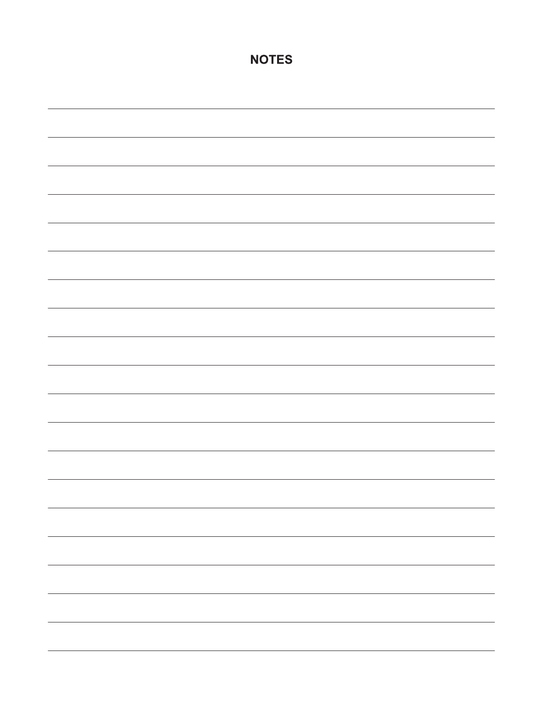| <b>NOTES</b>             |
|--------------------------|
|                          |
|                          |
|                          |
|                          |
|                          |
|                          |
|                          |
|                          |
|                          |
|                          |
|                          |
|                          |
|                          |
|                          |
|                          |
|                          |
|                          |
|                          |
|                          |
|                          |
|                          |
|                          |
|                          |
|                          |
| $\overline{\phantom{0}}$ |
| $\overline{\phantom{0}}$ |
|                          |
|                          |
|                          |
|                          |
| $\overline{\phantom{0}}$ |
|                          |
|                          |
|                          |
|                          |